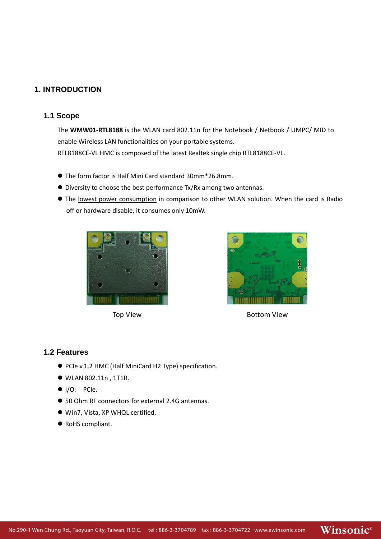### **1. INTRODUCTION**

#### **1.1 Scope**

The **WMW01-RTL8188** is the WLAN card 802.11n for the Notebook / Netbook / UMPC/ MID to enable Wireless LAN functionalities on your portable systems. RTL8188CE-VL HMC is composed of the latest Realtek single chip RTL8188CE-VL.

- The form factor is Half Mini Card standard 30mm\*26.8mm.
- Diversity to choose the best performance Tx/Rx among two antennas.
- The lowest power consumption in comparison to other WLAN solution. When the card is Radio off or hardware disable, it consumes only 10mW.





Top View **Bottom View** 

Winsonic®

#### **1.2 Features**

- PCIe v.1.2 HMC (Half MiniCard H2 Type) specification.
- WLAN 802.11n , 1T1R.
- $I/O: PCIe.$
- 50 Ohm RF connectors for external 2.4G antennas.
- Win7, Vista, XP WHQL certified.
- RoHS compliant.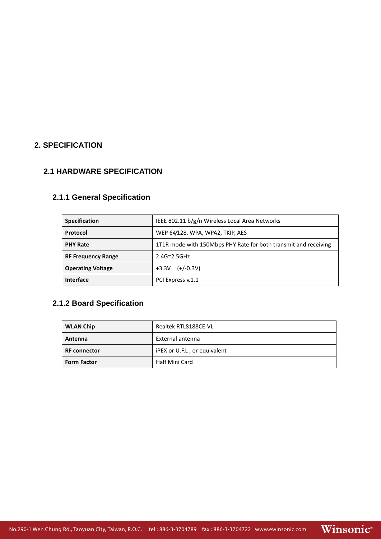# **2. SPECIFICATION**

#### **2.1 HARDWARE SPECIFICATION**

# **2.1.1 General Specification**

| <b>Specification</b>      | IEEE 802.11 b/g/n Wireless Local Area Networks                  |  |  |
|---------------------------|-----------------------------------------------------------------|--|--|
| Protocol                  | WEP 64/128, WPA, WPA2, TKIP, AES                                |  |  |
| <b>PHY Rate</b>           | 1T1R mode with 150Mbps PHY Rate for both transmit and receiving |  |  |
| <b>RF Frequency Range</b> | $2.4G^{\sim}2.5GHz$                                             |  |  |
| <b>Operating Voltage</b>  | $(+/-0.3V)$<br>$+3.3V$                                          |  |  |
| <b>Interface</b>          | PCI Express v.1.1                                               |  |  |

# **2.1.2 Board Specification**

| <b>WLAN Chip</b>    | Realtek RTL8188CE-VL         |  |
|---------------------|------------------------------|--|
| Antenna             | External antenna             |  |
| <b>RF</b> connector | iPEX or U.F.L, or equivalent |  |
| <b>Form Factor</b>  | Half Mini Card               |  |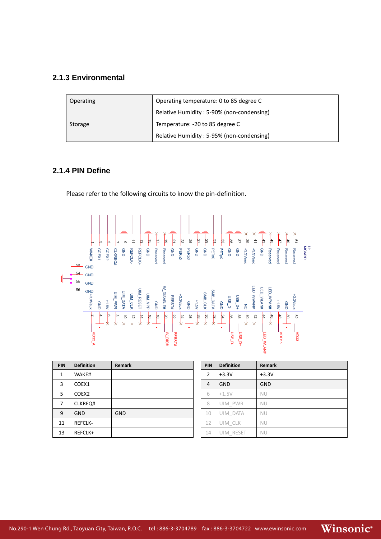#### **2.1.3 Environmental**

| Operating | Operating temperature: 0 to 85 degree C   |  |
|-----------|-------------------------------------------|--|
|           | Relative Humidity: 5-90% (non-condensing) |  |
| Storage   | Temperature: -20 to 85 degree C           |  |
|           | Relative Humidity: 5-95% (non-condensing) |  |

# **2.1.4 PIN Define**

Please refer to the following circuits to know the pin-definition.



| PIN | <b>Definition</b> | <b>Remark</b> | PIN            | <b>Definition</b> | Remark     |
|-----|-------------------|---------------|----------------|-------------------|------------|
| 1   | WAKE#             |               | $\overline{2}$ | $+3.3V$           | $+3.3V$    |
| 3   | COEX1             |               | 4              | <b>GND</b>        | <b>GND</b> |
| 5   | COEX <sub>2</sub> |               | 6              | $+1.5V$           | <b>NU</b>  |
| 7   | CLKREQ#           |               | 8              | UIM PWR           | <b>NU</b>  |
| 9   | <b>GND</b>        | <b>GND</b>    | 10             | UIM DATA          | <b>NU</b>  |
| 11  | <b>REFCLK-</b>    |               | 12             | uim clk           | <b>NU</b>  |
| 13  | REFCLK+           |               | 14             | uim reset         | <b>NU</b>  |

| PIN | <b>Definition</b> | <b>Remark</b> |
|-----|-------------------|---------------|
| 2   | $+3.3V$           | $+3.3V$       |
| 4   | <b>GND</b>        | <b>GND</b>    |
| 6   | $+1.5V$           | <b>NU</b>     |
| 8   | UIM PWR           | <b>NU</b>     |
| 10  | <b>UIM DATA</b>   | NU            |
| 12  | UIM CLK           | NU            |
| 14  | UIM RESET         | <b>NU</b>     |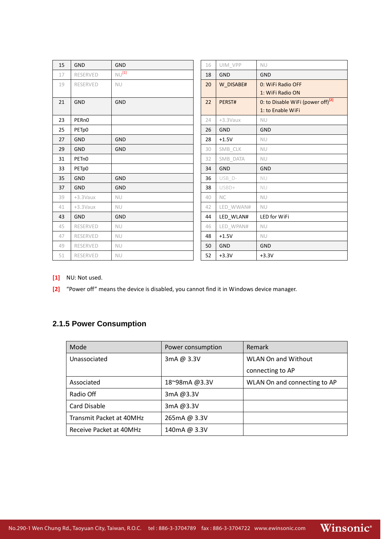| 15 | <b>GND</b>        | <b>GND</b> | 16 | UIM VPP     | <b>NU</b>                                     |
|----|-------------------|------------|----|-------------|-----------------------------------------------|
| 17 | <b>RESERVED</b>   | $NU^{[1]}$ | 18 | <b>GND</b>  | <b>GND</b>                                    |
| 19 | <b>RESERVED</b>   | <b>NU</b>  | 20 | W_DISABE#   | 0: WiFi Radio OFF                             |
|    |                   |            |    |             | 1: WiFi Radio ON                              |
| 21 | <b>GND</b>        | <b>GND</b> | 22 | PERST#      | 0: to Disable WiFi (power off) <sup>[2]</sup> |
|    |                   |            |    |             | 1: to Enable WiFi                             |
| 23 | PER <sub>n0</sub> |            | 24 | $+3.3$ Vaux | <b>NU</b>                                     |
| 25 | PETp0             |            | 26 | <b>GND</b>  | <b>GND</b>                                    |
| 27 | <b>GND</b>        | <b>GND</b> | 28 | $+1.5V$     | <b>NU</b>                                     |
| 29 | <b>GND</b>        | GND        | 30 | SMB_CLK     | <b>NU</b>                                     |
| 31 | PET <sub>n0</sub> |            | 32 | SMB_DATA    | <b>NU</b>                                     |
| 33 | PETp0             |            | 34 | <b>GND</b>  | <b>GND</b>                                    |
| 35 | <b>GND</b>        | <b>GND</b> | 36 | USB_D-      | <b>NU</b>                                     |
| 37 | <b>GND</b>        | <b>GND</b> | 38 | USBD+       | <b>NU</b>                                     |
| 39 | $+3.3$ Vaux       | <b>NU</b>  | 40 | NC          | <b>NU</b>                                     |
| 41 | $+3.3$ Vaux       | <b>NU</b>  | 42 | LED_WWAN#   | <b>NU</b>                                     |
| 43 | <b>GND</b>        | GND        | 44 | LED_WLAN#   | LED for WiFi                                  |
| 45 | RESERVED          | <b>NU</b>  | 46 | LED_WPAN#   | <b>NU</b>                                     |
| 47 | <b>RESERVED</b>   | <b>NU</b>  | 48 | $+1.5V$     | <b>NU</b>                                     |
| 49 | RESERVED          | <b>NU</b>  | 50 | <b>GND</b>  | <b>GND</b>                                    |
| 51 | RESERVED          | <b>NU</b>  | 52 | $+3.3V$     | $+3.3V$                                       |

- **[1]** NU: Not used.
- **[2]** "Power off" means the device is disabled, you cannot find it in Windows device manager.

# **2.1.5 Power Consumption**

| Mode                     | Power consumption | Remark                       |  |
|--------------------------|-------------------|------------------------------|--|
| Unassociated             | 3mA @ 3.3V        | <b>WLAN On and Without</b>   |  |
|                          |                   | connecting to AP             |  |
| Associated               | 18~98mA@3.3V      | WLAN On and connecting to AP |  |
| Radio Off                | 3mA @3.3V         |                              |  |
| Card Disable             | 3mA @3.3V         |                              |  |
| Transmit Packet at 40MHz | 265mA @ 3.3V      |                              |  |
| Receive Packet at 40MHz  | 140mA @ 3.3V      |                              |  |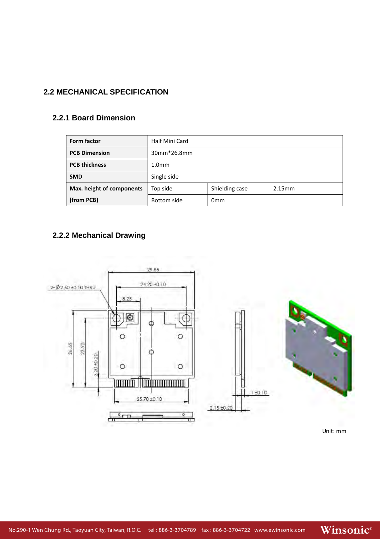# **2.2 MECHANICAL SPECIFICATION**

### **2.2.1 Board Dimension**

| <b>Form factor</b>        | Half Mini Card                       |  |  |
|---------------------------|--------------------------------------|--|--|
| <b>PCB Dimension</b>      | 30mm*26.8mm                          |  |  |
| <b>PCB thickness</b>      | 1.0 <sub>mm</sub>                    |  |  |
| <b>SMD</b>                | Single side                          |  |  |
| Max. height of components | Shielding case<br>Top side<br>2.15mm |  |  |
| (from PCB)                | Bottom side<br>0 <sub>mm</sub>       |  |  |

# **2.2.2 Mechanical Drawing**



Unit: mm